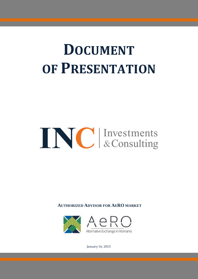# **DOCUMENT OF PRESENTATION**

# INC Investments

**AUTHORIZED ADVISOR FOR AERO MARKET**



January 16, 2015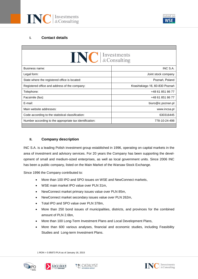



# **I. Contact details**

| <b>NC</b> Envestments<br>INC S.A.<br>Business name:<br>Legal form:<br>Joint stock company<br>State where the registered office is located:<br>Poznań, Poland<br>Krasińskiego 16, 60-830 Poznań<br>Registered office and address of the company:<br>+48 61 851 86 77<br>Telephone:<br>+48 61 851 86 77<br>Facsimile (fax):<br>E-mail:<br>biuro@ic.poznan.pl<br>Main website addresses:<br>www.incsa.pl<br>630316445<br>Code according to the statistical classification:<br>Number according to the appropriate tax identification:<br>778-10-24-498 |  |  |  |  |  |
|-----------------------------------------------------------------------------------------------------------------------------------------------------------------------------------------------------------------------------------------------------------------------------------------------------------------------------------------------------------------------------------------------------------------------------------------------------------------------------------------------------------------------------------------------------|--|--|--|--|--|
|                                                                                                                                                                                                                                                                                                                                                                                                                                                                                                                                                     |  |  |  |  |  |
|                                                                                                                                                                                                                                                                                                                                                                                                                                                                                                                                                     |  |  |  |  |  |
|                                                                                                                                                                                                                                                                                                                                                                                                                                                                                                                                                     |  |  |  |  |  |
|                                                                                                                                                                                                                                                                                                                                                                                                                                                                                                                                                     |  |  |  |  |  |
|                                                                                                                                                                                                                                                                                                                                                                                                                                                                                                                                                     |  |  |  |  |  |
|                                                                                                                                                                                                                                                                                                                                                                                                                                                                                                                                                     |  |  |  |  |  |
|                                                                                                                                                                                                                                                                                                                                                                                                                                                                                                                                                     |  |  |  |  |  |
|                                                                                                                                                                                                                                                                                                                                                                                                                                                                                                                                                     |  |  |  |  |  |
|                                                                                                                                                                                                                                                                                                                                                                                                                                                                                                                                                     |  |  |  |  |  |
|                                                                                                                                                                                                                                                                                                                                                                                                                                                                                                                                                     |  |  |  |  |  |
|                                                                                                                                                                                                                                                                                                                                                                                                                                                                                                                                                     |  |  |  |  |  |

# **II. Company description**

INC S.A. is a leading Polish investment group established in 1996, operating on capital markets in the area of investment and advisory services. For 20 years the Company has been supporting the development of small and medium-sized enterprises, as well as local government units. Since 2006 INC has been a public company, listed on the Main Market of the Warsaw Stock Exchange.

Since 1996 the Company contributed to:

- More than 100 IPO and SPO issues on WSE and NewConnect markets,
- WSE main market IPO value over PLN 31m,
- NewConnect market primary issues value over PLN 85m,
- NewConnect market secondary issues value over PLN 262m,
- Total IPO and SPO value over PLN 378m.
- More than 250 bond issues of municipalities, districts, and provinces for the combined amount of PLN 2.6bn,
- More than 100 Long-Term Investment Plans and Local Development Plans,
- More than 600 various analyses, financial and economic studies, including Feasibility Studies and Long-term Investment Plans.

1 RON = 0.95873 PLN as of January 16, 2015







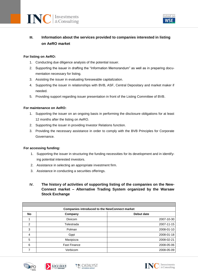



# **III. Information about the services provided to companies interested in listing on AeRO market**

# **For listing on AeRO:**

- 1. Conducting due diligence analysis of the potential issuer.
- 2. Supporting the issuer in drafting the "Information Memorandum" as well as in preparing documentation necessary for listing.
- 3. Assisting the issuer in evaluating foreseeable capitalization.
- 4. Supporting the issuer in relationships with BVB, ASF, Central Depositary and market maker if needed.
- 5. Providing support regarding issuer presentation in front of the Listing Committee of BVB.

#### **For maintenance on AeRO:**

- 1. Supporting the issuer on an ongoing basis in performing the disclosure obligations for at least 12 months after the listing on AeRO.
- 2. Supporting the issuer in providing Investor Relations function.
- 3. Providing the necessary assistance in order to comply with the BVB Principles for Corporate Governance.

#### **For accessing funding:**

- 1. Supporting the issuer in structuring the funding necessities for its development and in identifying potential interested investors.
- 2. Assistance in selecting an appropriate investment firm.
- 3. Assistance in conducting a securities offerings.
- **IV. The history of activities of supporting listing of the companies on the New-Connect market – Alternative Trading System organized by the Warsaw Stock Exchange**

|                | <b>Companies introduced to the NewConnect market</b> |            |
|----------------|------------------------------------------------------|------------|
| <b>No</b>      | Company                                              | Debut date |
|                | <b>Divicom</b>                                       | 2007-10-30 |
| $\mathfrak{p}$ | Telestrada                                           | 2007-11-15 |
| 3              | Polman                                               | 2008-01-10 |
| 4              | Gppi                                                 | 2008-01-18 |
| 5              | Maxipizza                                            | 2008-02-21 |
| 6              | <b>Fast Finance</b>                                  | 2008-05-06 |
|                | Verbicom                                             | 2008-05-09 |







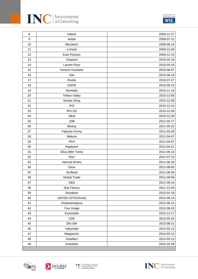

| 8                | Inbook                | 2008-11-27 |
|------------------|-----------------------|------------|
| $\boldsymbol{9}$ | Artefe                | 2009-07-31 |
| 10               | Microtech             | 2009-09-16 |
| 11               | e-Kiosk               | 2009-12-09 |
| 12               | <b>East Pictures</b>  | 2009-12-10 |
| 13               | Gwarant               | 2010-02-16 |
| 14               | Lauren Peso           | 2010-04-16 |
| 15               | Venture Incubator     | 2010-06-07 |
| 16               | Site                  | 2010-06-18 |
| 17               | Rovita                | 2010-07-27 |
| 18               | <b>CWPE</b>           | 2010-09-23 |
| 19               | Remedis               | 2010-11-19 |
| 20               | <b>Teliani Valley</b> | 2010-12-08 |
| 21               | Smoke Shop            | 2010-12-08 |
| 22               | <b>IPO</b>            | 2010-12-22 |
| 23               | <b>IPO DS</b>         | 2010-12-28 |
| 24               | Alkal                 | 2010-12-30 |
| 25               | <b>JDB</b>            | 2011-02-17 |
| 26               | <b>Bioerg</b>         | 2011-03-22 |
| 27               | Fabryka Formy         | 2011-03-28 |
| 28               | Makora                | 2011-04-07 |
| 29               | PFH                   | 2011-04-07 |
| 30               | Rajdy4x4              | 2011-04-21 |
| 31               | Silva (MW Tenis)      | 2011-06-10 |
| 32               | Klon                  | 2011-07-13 |
| 33               | <b>Internet Works</b> | 2011-06-29 |
| 34               | Dase                  | 2011-08-05 |
| 35               | Surfland              | 2011-08-05 |
| 36               | <b>Global Trade</b>   | 2011-09-06 |
| 37               | D&D                   | 2011-09-16 |
| 38               | <b>Star Fitness</b>   | 2011-12-20 |
| 39               | Socializer            | 2012-01-16 |
| 40               | UNITED (STOCKinfo)    | 2012-05-14 |
| 41               | Ostatniemiejsca       | 2012-06-15 |
| 42               | Your Image            | 2012-06-20 |
| 43               | Examobile             | 2012-12-17 |
| 44               | <b>CDE</b>            | 2013-03-25 |
| 45               | Efix DM               | 2013-08-21 |
| 46               | Vakomtek              | 2014-02-13 |
| 47               | Megasonic             | 2014-03-12 |
| 48               | 2Intellect            | 2014-03-13 |
| 49               | Investeko             | 2014-10-28 |





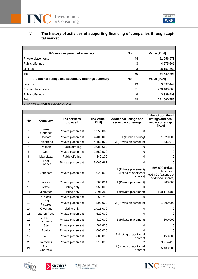



| IPO services provided summary                       | No | <b>Value [PLN]</b> |
|-----------------------------------------------------|----|--------------------|
| Private placements                                  | 44 | 61 956 973         |
| Public offerings                                    | 3  | 4575561            |
| Listings                                            | 3  | 18 157 360         |
| Total                                               | 50 | 84 689 893         |
|                                                     |    |                    |
| Additional listings and secondary offerings summary | No | Value [PLN]        |
| Listings                                            | 19 | 19 537 449         |
| Private placements                                  | 21 | 228 483 808        |
| Public offerings                                    | 8  | 13 939 499         |
| Total                                               | 48 | 261 960 755        |

| <b>No</b>      | Company                 | <b>IPO services</b><br>provided | <b>IPO</b> value<br>[PLN] | <b>Additional listings and</b><br>secondary offerings        | Value of additional<br>listings and sec-<br>ondary offerings<br><b>IPLN1</b> |
|----------------|-------------------------|---------------------------------|---------------------------|--------------------------------------------------------------|------------------------------------------------------------------------------|
| 1              | Inwest<br>Connect       | Private placement               | 11 250 000                | 0                                                            | 0                                                                            |
| $\overline{2}$ | Divicom                 | Private placement               | 4 400 000                 | 1 (Public offering)                                          | 1 620 000                                                                    |
| 3              | Telestrada              | Private placement               | 4 456 800                 | 3 (Private placements)                                       | 635 948                                                                      |
| 4              | Polman                  | Public offering                 | 2 985 680                 | 0                                                            | 0                                                                            |
| 5              | Gppi                    | Private placement               | 2 550 000                 | 0                                                            | 0                                                                            |
| 6              | Maxipizza               | Public offering                 | 849 106                   | 0                                                            | 0                                                                            |
| 7              | Fast<br>Finance         | Private placement               | 5 066 667                 | 0                                                            | 0                                                                            |
| 8              | Verbicom                | Private placement               | 1920 000                  | 1 (Private placement)<br>1 (listing of additional<br>shares) | 505 999 (Private<br>placement)<br>602 800 (Listings of<br>additional shares) |
| 9              | Inbook                  | Private placement               | 500 094                   | 1 (Private placement)                                        | 208 000                                                                      |
| 10             | Artefe                  | Listing only                    | 950 000                   | 0                                                            | 0                                                                            |
| 11             | Microtech               | Listing only                    | 15 291 360                | 1 (Private placement)                                        | 100 110 488                                                                  |
| 12             | e-Kiosk                 | Private placement               | 258 750                   | 0                                                            | 0                                                                            |
| 13             | East<br><b>Pictures</b> | Private placement               | 500 000                   | 2 (Private placements)                                       | 1 500 000                                                                    |
| 14             | Gwarant                 | Listing only                    | 1916000                   | 0                                                            | 0                                                                            |
| 15             | Lauren Peso             | Private placement               | 529 000                   | $\overline{0}$                                               | $\Omega$                                                                     |
| 16             | Venture<br>Incubator    | Private placement               | 420 000                   | 1 (Private placement)                                        | 800 000                                                                      |
| 17             | Site                    | Private placement               | 581 830                   | 0                                                            | 0                                                                            |
| 18             | Rovita                  | Private placement               | 600 000                   | 0                                                            | $\Omega$                                                                     |
| 19             | <b>CWPE</b>             | Private placement               | 600 000                   | 1 (Listing of additional<br>shares)                          | 150 000                                                                      |
| 20             | Remedis                 | Private placement               | 510 000                   | $\overline{2}$                                               | 3914410                                                                      |
| 21             | Ruch<br>Chorzów         |                                 |                           | 9 (listings of additional<br>shares)                         | 15 433 983                                                                   |





**ADVISER** 





listed on **WSE**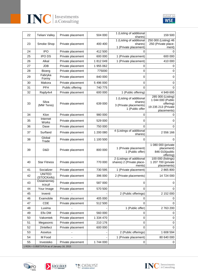



| 22                                         | Teliani Valley               | Private placement | 504 000   | 1 (Listing of additional                                                         | 159 500                                                                                   |  |
|--------------------------------------------|------------------------------|-------------------|-----------|----------------------------------------------------------------------------------|-------------------------------------------------------------------------------------------|--|
|                                            |                              |                   |           | shares)<br>1 (Listing of additional                                              | 250 000 (Listing) 46                                                                      |  |
| 23                                         | Smoke Shop                   | Private placement | 400 400   | shares)                                                                          | 250 (Private place-                                                                       |  |
|                                            |                              |                   |           | 1 (Private placement)                                                            | ment)                                                                                     |  |
| 24                                         | <b>IPO</b>                   | Private placement | 412 500   | 0                                                                                | 0                                                                                         |  |
| 25                                         | <b>IPO DS</b>                | Private placement | 600 000   | 1 (Private placement)                                                            | 600 000                                                                                   |  |
| 26                                         | Alkal                        | Private placement | 1812049   | 1 (Private placement)                                                            | 410 000                                                                                   |  |
| 27                                         | <b>JDB</b>                   | Private placement | 1 955 062 | 0<br>0                                                                           | 0                                                                                         |  |
| 28                                         | <b>Bioerg</b><br>Fabryka     | Private placement | 775000    |                                                                                  | 0                                                                                         |  |
| 29                                         | Formy                        | Private placement | 840 000   | 0                                                                                | 0                                                                                         |  |
| 30                                         | Makora                       | Private placement | 5 496 000 | 0                                                                                | 0                                                                                         |  |
| 31                                         | <b>PFH</b>                   | Public offering   | 740 775   | 0                                                                                | 0                                                                                         |  |
| 32                                         | Rajdy4x4                     | Private placement | 600 000   | 1 (Public offering)                                                              | 4 949 695                                                                                 |  |
| 33                                         | Silva<br>(MW Tenis)          | Private placement | 639 000   | 1 (Listing of additional<br>shares)<br>3 (Private placements)<br>1 (Public offer | 285 000 (Listing)<br>1 044 000 (Public<br>offering)<br>19 235 213 (Private<br>placements) |  |
| 34                                         | Klon                         | Private placement | 980 000   | 0                                                                                | 0                                                                                         |  |
| 35                                         | Internet<br>Works            | Private placement | 529 000   | 0                                                                                | 0                                                                                         |  |
| 36                                         | Dase                         | Private placement | 750 000   | 0                                                                                | 0                                                                                         |  |
| 37                                         | Surfland                     | Private placement | 1 200 080 | 4 (Listings of additional<br>shares)                                             | 2 556 166                                                                                 |  |
| 38                                         | Global<br>Trade              | Private placement | 1 100 500 | 0                                                                                | 0                                                                                         |  |
| 39                                         | D&D                          | Private placement | 800 000   | 1 (Private placement)<br>1 (Public offer)                                        | 1 080 000 (private<br>placement)<br>846 010(public<br>offering)                           |  |
| 40                                         | <b>Star Fitness</b>          | Private placement | 770 000   | 2 (Listings of additional<br>shares) 2 (Private place-<br>ments)                 | 100 000 (listings)<br>1 207 700 (private<br>placements)                                   |  |
| 41                                         | Socializer                   | Private placement | 730 595   | 1 (Private placement)                                                            | 2 865 800                                                                                 |  |
| 42                                         | <b>UNITED</b><br>(STOCKinfo) | Private placement | 396 000   | 2 (Private placements)                                                           | 14 724 000                                                                                |  |
| 43                                         | Ostatniemiej-<br>sca.pl      | Private placement | 587 000   | 0                                                                                | 0                                                                                         |  |
| 44                                         | Your Image                   | Private placement | 570 500   | 0                                                                                | 0                                                                                         |  |
| 45                                         | Inventi                      |                   |           | 2 (Public offerings)                                                             | 2 152 000                                                                                 |  |
| 46                                         | Examobile                    | Private placement | 405 000   | 0                                                                                | 0                                                                                         |  |
| 47                                         | CDE                          | Private placement | 512 500   | 0                                                                                | 0                                                                                         |  |
| 48                                         | Luxima                       |                   |           | 1 (Public offer)                                                                 | 2763200                                                                                   |  |
| 49                                         | Efix DM                      | Private placement | 560 000   | 0                                                                                | 0                                                                                         |  |
| 50                                         | Vakomtek                     | Private placement | 1 334 470 | 0                                                                                | $\pmb{0}$                                                                                 |  |
| 51                                         | Megasonic                    | Private placement | 210 176   | 0                                                                                | 0                                                                                         |  |
| 52                                         | 2Intellect                   | Private placement | 600 000   | 0                                                                                | $\mathbf 0$                                                                               |  |
| 53                                         | Assetus                      |                   |           | 2 (Public offerings)                                                             | 1 608 594                                                                                 |  |
| 54                                         | M Food                       |                   |           | 1 (Private placement)                                                            | 80 640 000                                                                                |  |
| 55                                         | Investeko                    | Private placement | 1744 000  | 0                                                                                | 0                                                                                         |  |
| 1 RON = 0.95873 PLN as of January 16, 2015 |                              |                   |           |                                                                                  |                                                                                           |  |



ADVISER



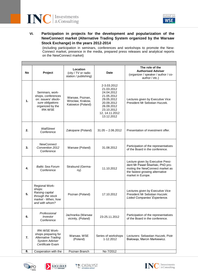



# **VI. Participation in projects for the development and popularization of the NewConnect market (Alternative Trading System organized by the Warsaw Stock Exchange) in the years 2012-2014**

(including participation in seminars, conferences and workshops to promote the New-Connect market, presence in the media, prepared press releases and analytical reports on the NewConnect market)

| No | Project                                                                                                                 | Location<br>(city / TV or radio<br>station / publishing) | <b>Date</b>                                                                                                                                   | The role of the<br><b>Authorised Adviser</b><br>(organizer / speaker / author / co-<br>author / etc.)                                                             |
|----|-------------------------------------------------------------------------------------------------------------------------|----------------------------------------------------------|-----------------------------------------------------------------------------------------------------------------------------------------------|-------------------------------------------------------------------------------------------------------------------------------------------------------------------|
| 1. | Seminars, work-<br>shops, conferences<br>on: issuers' disclo-<br>sure obligations<br>organized by the<br><b>IRK-WSE</b> | Warsaw, Poznan,<br>Wroclaw, Krakow,<br>Katowice (Poland) | 2-3.03.2012<br>21.03.2012<br>24.04.2012<br>21.05.2012<br>29.05.2012<br>20.09.2012<br>26.09.2012<br>23.10.2012<br>12, 14.11.2012<br>13.12.2012 | Lectures given by Executive Vice<br>President Mr Sebstian Huczek.                                                                                                 |
| 2. | WallStreet<br>Conference                                                                                                | Zakopane (Poland)                                        | $31.05 - 2.06.2012$                                                                                                                           | Presentation of investment offer.                                                                                                                                 |
| 3. | <b>NewConnect</b><br>Convention 2012<br>Conference                                                                      | Warsaw (Poland)                                          | 31.08.2012                                                                                                                                    | Participation of the representatives<br>of the Board in the conference.                                                                                           |
| 4. | <b>Baltic Sea Forum</b><br>Conference                                                                                   | Stralsund (Germa-<br>ny)                                 | 11.10.2012                                                                                                                                    | Lecture given by Executive Presi-<br>dent Mr Paweł Śliwiński, PhD pro-<br>moting the NewConnect market as<br>the fastest growing alternative<br>market in Europe. |
| 5. | <b>Regional Work-</b><br>shops:<br>Raising capital<br>through the stock<br>market - When, how<br>and with whom?         | Poznan (Poland)                                          | 17.10.2012                                                                                                                                    | Lectures given by Executive Vice<br>President Mr Sebstian Huczek:<br>Listed Companies' Experience.                                                                |
| 6. | Professional<br>Investor<br>Conference                                                                                  | Jachranka (Warsaw<br>vicinity, (Poland)                  | 23-25.11.2012                                                                                                                                 | Participation of the representatives<br>of the Board in the conference.                                                                                           |
| 7. | <b>IRK-WSE Work-</b><br>shops preparing for<br><b>Alternative Trading</b><br><b>System Adviser</b><br>Certificate Exam  | Warsaw, WSE<br>(Poland)                                  | Series of workshops<br>1-12.2012                                                                                                              | Lecturers: Sebastian Huczek, Piotr<br>Białowąs, Marcin Markiewicz.                                                                                                |
| 8. | Cooperation with the                                                                                                    | Poznan Branch                                            | No 7/2012                                                                                                                                     |                                                                                                                                                                   |







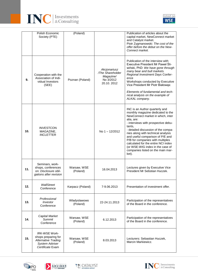



|     | Polish Economic<br>Society (PTE)                                                                                       | (Poland)                 |                                                                          | Publication of articles about the<br>capital market, NewConnect market<br>and Catalyst market.<br>Piotr Zygmanowski: The cost of the<br>offer before the debut on the New-<br>Connect market.                                                                                                                                                                                                                                                         |
|-----|------------------------------------------------------------------------------------------------------------------------|--------------------------|--------------------------------------------------------------------------|-------------------------------------------------------------------------------------------------------------------------------------------------------------------------------------------------------------------------------------------------------------------------------------------------------------------------------------------------------------------------------------------------------------------------------------------------------|
| 9.  | Cooperation with the<br>Association of Indi-<br>vidual Investors<br>(SEE)                                              | Poznan (Poland)          | Akcjonariusz<br>/The Shareholder<br>Magazine/<br>No 3/2012<br>20.10.2012 | Publication of the interview with<br>Executive President Mr Paweł Śli-<br>wiński, PhD: We have gone through<br>many bear and bull markets.<br>Regional Investment Days Confer-<br>ence<br>Workshops conducted by Executive<br>Vice President Mr Piotr Białowąs:<br>Elements of fundamental and tech-<br>nical analysis on the example of<br>ALKAL company.                                                                                            |
| 10. | <b>INVESTCON</b><br>MAGAZINE,<br><b>INCLETTER</b>                                                                      |                          | No $1 - 12/2012$                                                         | INC is an Author quarterly and<br>monthly magazine dedicated to the<br>NewConnect market in which, inter<br>alia, are:<br>- interviews with prospective debu-<br>tants,<br>- detailed discussion of the compa-<br>nies along with technical analysis<br>and useful comparison of P/E and<br>P/B for companies with multiples<br>calculated for the entire NCI index<br>(or WSE-WIG index in the case of<br>companies listed on the main mar-<br>ket). |
| 11. | Seminars, work-<br>shops, conferences<br>on: Disclosure obli-<br>gations after revision                                | Warsaw, WSE<br>(Poland)  | 16.04.2013                                                               | Lectures given by Executive Vice<br>President Mr Sebstian Huczek.                                                                                                                                                                                                                                                                                                                                                                                     |
| 12. | WallStreet<br>Conference                                                                                               | Karpacz (Poland)         | 7-9.06.2013                                                              | Presentation of investment offer.                                                                                                                                                                                                                                                                                                                                                                                                                     |
| 13. | Professional<br><b>Investor</b><br>Conference                                                                          | Wladyslawowo<br>(Poland) | 22-24.11.2013                                                            | Participation of the representatives<br>of the Board in the conference.                                                                                                                                                                                                                                                                                                                                                                               |
| 14. | <b>Capital Market</b><br><b>Summit</b><br>Conference                                                                   | Warsaw, WSE<br>(Poland)  | 6.12.2013                                                                | Participation of the representatives<br>of the Board in the conference.                                                                                                                                                                                                                                                                                                                                                                               |
| 15. | <b>IRK-WSE Work-</b><br>shops preparing for<br><b>Alternative Trading</b><br><b>System Adviser</b><br>Certificate Exam | Warsaw, WSE<br>(Poland)  | 8.03.2013                                                                | Lecturers: Sebastian Huczek,<br>Marcin Markiewicz.                                                                                                                                                                                                                                                                                                                                                                                                    |







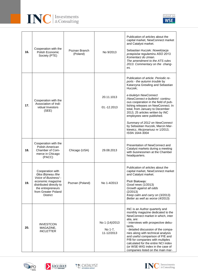



| 16. | Cooperation with the<br>Polish Economic<br>Society (PTE)                                                                                                                    | Poznan Branch<br>(Poland) | No 9/2013                               | Publication of articles about the<br>capital market, NewConnect market<br>and Catalyst market.<br>Sebastian Huczek: Nowelizacja<br>przepisów regulaminu ASO 2013.<br>Komentarz do zmian.<br>The amendment to the ATS rules<br>2013. Commentary on the chang-<br>es.                                                                                                                                                                                                                             |
|-----|-----------------------------------------------------------------------------------------------------------------------------------------------------------------------------|---------------------------|-----------------------------------------|-------------------------------------------------------------------------------------------------------------------------------------------------------------------------------------------------------------------------------------------------------------------------------------------------------------------------------------------------------------------------------------------------------------------------------------------------------------------------------------------------|
| 17. | Cooperation with the<br>Association of Indi-<br>vidual Investors<br>(SEE)                                                                                                   |                           | 20.11.1013<br>01.-12.2013               | Publication of article: Periodic re-<br>ports - the autumn trouble by<br>Katarzyna Grewling and Sebastian<br>Huczek:<br>e-biuletyn NewConnect<br>/NewConnect e-bulletin/- continu-<br>ous cooperation in the field of pub-<br>lishing releases on NewConnect. In<br>total, from January to December<br>2013, 25 articles written by INC<br>employees were published.<br>Summary of 2012 on NewConnect<br>by Sebastian Huczek, Marcin Mar-<br>kiewicz, Akcjonariusz nr 1/2013,<br>ISSN 1644-3004 |
| 18. | Cooperation with the<br>Polish-American<br>Chamber of Com-<br>merce in Chicago<br>(PACC)                                                                                    | Chicago (USA)             | 29.08.2013                              | Presentation of NewConnect and<br>Catalyst markets during a meeting<br>with businessmen at the Chamber<br>headquarters.                                                                                                                                                                                                                                                                                                                                                                         |
| 19. | Cooperation with<br>Głos Biznesu /the<br>Voice of Business/-<br>economic magazine<br>distributed directly to<br>the entrepreneurs<br>from Greater Poland<br><b>District</b> | Poznan (Poland)           | No 1-4/2013                             | Publication of articles about the<br>capital market, NewConnect market<br>and Catalyst market.<br>Piotr Białowąs:<br>Good news (1/2013)<br>Growth against all odds<br>(2/2013)<br>Keep calm and carry on (3/2013)<br>Better as well as worse (4/2013)                                                                                                                                                                                                                                           |
| 20. | <b>INVESTCON</b><br>MAGAZINE,<br><b>INCLETTER</b>                                                                                                                           |                           | No 1 (14)/2013<br>No 1-7,<br>11-12/2013 | INC is an Author quarterly and<br>monthly magazine dedicated to the<br>NewConnect market in which, inter<br>alia, are:<br>- interviews with prospective debu-<br>tants,<br>- detailed discussion of the compa-<br>nies along with technical analysis<br>and useful comparison of P/E and<br>P/B for companies with multiples<br>calculated for the entire NCI index<br>(or WSE-WIG index in the case of<br>companies listed on the main mar-                                                    |







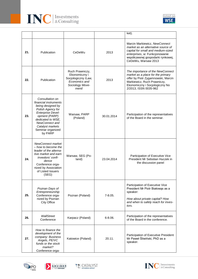



|     |                                                                                                                                                                                                                            |                                                                                                     |             | ket).                                                                                                                                                                                                   |
|-----|----------------------------------------------------------------------------------------------------------------------------------------------------------------------------------------------------------------------------|-----------------------------------------------------------------------------------------------------|-------------|---------------------------------------------------------------------------------------------------------------------------------------------------------------------------------------------------------|
| 21. | Publication                                                                                                                                                                                                                | CeDeWu                                                                                              | 2013        | Marcin Markiewicz, NewConnect<br>market as an alternative source of<br>capital for small and medium-sized<br>enterprises, w: Funkcjonowanie<br>współczesnej gospodarki rynkowej,<br>CeDeWu, Warsaw 2013 |
| 22. | Publication                                                                                                                                                                                                                | Ruch Prawniczy,<br>Ekonomiczny i<br>Socjologiczny /Law,<br>Economics and<br>Sociology Move-<br>ment | 2013        | The importance of the NewConnect<br>market as a place for the primary<br>offer by Piotr Zygamnowski, Marcin<br>Markiewicz, Ruch Prawniczy,<br>Ekonomiczny i Socjologiczny No<br>2/2013, ISSN 0035-962   |
| 23. | Consultation on<br>financial instruments<br>being designed by<br>Polish Agency for<br><b>Enterprise Devel-</b><br>opment (PARP)<br>dedicated to WSE,<br>NewConnect and<br>Catalyst markets<br>Seminar organized<br>by PARP | Warsaw, PARP<br>(Poland)                                                                            | 30.01.2014  | Participation of the representatives<br>of the Board in the seminar.                                                                                                                                    |
| 24. | NewConnect market<br>- how to become the<br>leader of the alterna-<br>tive market and earn<br>investors' confi-<br>dence<br>Conference orga-<br>nized by Association<br>of Listed Issuers<br>(SEG)                         | Warsaw, SEG (Po-<br>land)                                                                           | 23.04.2014  | Participation of Executive Vice<br>President Mr Sebstian Huczek in<br>the discussion panel                                                                                                              |
| 25. | Poznan Days of<br>Entrepreneurship<br>Conference orga-<br>nized by Poznan<br>City Office                                                                                                                                   | Poznan (Poland)                                                                                     | $7 - 8.05.$ | Participation of Executive Vice<br>President Mr Piotr Białowąs as a<br>speaker:<br>How about private capital? How<br>and when to safely reach for inves-<br>tors.                                       |
| 26. | WallStreet<br>Conference                                                                                                                                                                                                   | Karpacz (Poland)                                                                                    | 6-8.06.     | Participation of the representatives<br>of the Board in the conference.                                                                                                                                 |
| 27. | How to finance the<br>development of the<br>company: Business<br>Angels, PE/VC<br>funds or the stock<br>market?<br>Conference orga-                                                                                        | Katowice (Poland)                                                                                   | 20.11.      | Participation of Executive President<br>Mr Paweł Śliwiński, PhD as a<br>speaker.                                                                                                                        |







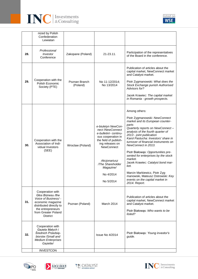



|     | nized by Polish<br>Confederation<br>Lewiatan                                                                                                                                |                           |                                                                                                                                                                                                                                  |                                                                                                                                                                                                                                                                                                                                                                                                                                                                                                                                                                      |
|-----|-----------------------------------------------------------------------------------------------------------------------------------------------------------------------------|---------------------------|----------------------------------------------------------------------------------------------------------------------------------------------------------------------------------------------------------------------------------|----------------------------------------------------------------------------------------------------------------------------------------------------------------------------------------------------------------------------------------------------------------------------------------------------------------------------------------------------------------------------------------------------------------------------------------------------------------------------------------------------------------------------------------------------------------------|
| 28. | Professional<br>Investor<br>Conference                                                                                                                                      | Zakopane (Poland)         | 21-23.11.                                                                                                                                                                                                                        | Participation of the representatives<br>of the Board in the conference.                                                                                                                                                                                                                                                                                                                                                                                                                                                                                              |
| 29. | Cooperation with the<br>Polish Economic<br>Society (PTE)                                                                                                                    | Poznan Branch<br>(Poland) | No 11-12/2014;<br>No 13/2014                                                                                                                                                                                                     | Publication of articles about the<br>capital market, NewConnect market<br>and Catalyst market.<br>Piotr Zygmanowski: What does the<br>Stock Exchange punish Authorised<br>Advisors for?<br>Jacek Krawiec: The capital market<br>in Romania - growth prospects.                                                                                                                                                                                                                                                                                                       |
| 30. | Cooperation with the<br>Association of Indi-<br>vidual Investors<br>(SEE)                                                                                                   | Wroclaw (Poland)          | e-biuletyn NewCon-<br>nect/NewConnect<br>e-bulletin/- continu-<br>ous cooperation in<br>the field of publish-<br>ing releases on<br><b>NewConnect</b><br>Akcjonariusz<br>/The Shareholder<br>Magazine/<br>No 4/2014<br>No 5/2014 | Among others:<br>Piotr Zygmanowski: NewConnect<br>market and its European counter-<br>parts<br>Quarterly reports on NewConnect-<br>analysis of the fourth quarter of<br>2013 - joint publication<br>Karol Pastucha: Investors' share in<br>turnover of financial instruments on<br>NewConnect in 2013.<br>Piotr Białowąs: Opportunities pre-<br>sented for enterprises by the stock<br>market.<br>Jacek Krawiec: Catalyst bond mar-<br>ket.<br>Marcin Markiewicz, Piotr Zyg-<br>manowski, Mateusz Ostrowski: Key<br>events on the capital market in<br>2014. Report. |
| 31. | Cooperation with<br>Głos Biznesu /the<br>Voice of Business/-<br>economic magazine<br>distributed directly to<br>the entrepreneurs<br>from Greater Poland<br><b>District</b> | Poznan (Poland)           | March 2014                                                                                                                                                                                                                       | Publication of articles about the<br>capital market, NewConnect market<br>and Catalyst market.<br>Piotr Białowąs: Who wants to be<br>listed?                                                                                                                                                                                                                                                                                                                                                                                                                         |
| 32. | Cooperation with<br>Gazeta Małych i<br>Średnich Przedsię-<br>biorstw /Small and<br><b>Medium Enterprises</b><br>Gazette/<br><b>INVESTCON</b>                                |                           | <b>Issue No 4/2014</b>                                                                                                                                                                                                           | Piotr Białowąs: Young investor's<br>guide.                                                                                                                                                                                                                                                                                                                                                                                                                                                                                                                           |
|     |                                                                                                                                                                             |                           |                                                                                                                                                                                                                                  |                                                                                                                                                                                                                                                                                                                                                                                                                                                                                                                                                                      |







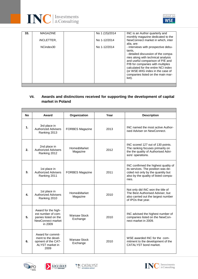



| 33. | <b>MAGAZINE</b>   | No 1 (15)/2014 | INC is an Author quarterly and<br>monthly magazine dedicated to the                                                                                                                                                                                                                                                         |
|-----|-------------------|----------------|-----------------------------------------------------------------------------------------------------------------------------------------------------------------------------------------------------------------------------------------------------------------------------------------------------------------------------|
|     | <i>iNCLETTER.</i> | No 1-12/2014   | NewConnect market in which, inter<br>alia, are:                                                                                                                                                                                                                                                                             |
|     | NCindex30         | No 1-12/2014   | - interviews with prospective debu-<br>tants,<br>- detailed discussion of the compa-<br>nies along with technical analysis<br>and useful comparison of P/E and<br>P/B for companies with multiples<br>calculated for the entire NCI index<br>(or WSE-WIG index in the case of<br>companies listed on the main mar-<br>ket). |
|     |                   |                |                                                                                                                                                                                                                                                                                                                             |

# **VII. Awards and distinctions received for supporting the development of capital market in Poland**

| <b>No</b> | Award                                                                                             | Organization                    | Year | <b>Description</b>                                                                                                                                                |
|-----------|---------------------------------------------------------------------------------------------------|---------------------------------|------|-------------------------------------------------------------------------------------------------------------------------------------------------------------------|
| 1.        | 3rd place in<br><b>Authorized Advisers</b><br>Ranking 2013                                        | <b>FORBES Magazine</b>          | 2013 | INC named the most active Author-<br>ised Adviser on NewConnect.                                                                                                  |
| 2.        | 2nd place in<br><b>Authorized Advisers</b><br>Ranking 2012                                        | Home&Market<br>Magazine         | 2012 | INC scored 127 out of 130 points.<br>The ranking focuses primarily on<br>the the quality of Authorised Advi-<br>sors' operations.                                 |
| 3.        | 1st place in<br><b>Authorized Advisers</b><br>Ranking 2011                                        | <b>FORBES Magazine</b>          | 2011 | INC confirmed the highest quality of<br>its services. The position was de-<br>cided not only by the quantity but<br>also by the quality of listed compa-<br>nies. |
| 4.        | 1st place in<br><b>Authorized Advisers</b><br>Ranking 2010                                        | Home&Market<br>Magazine         | 2010 | Not only did INC won the title of<br>The Best Authorised Adviser, but<br>also carried out the largest number<br>of IPOs that year.                                |
| 5.        | Award for the high-<br>est number of com-<br>panies listed on the<br>NewConnect market<br>in 2009 | <b>Warsaw Stock</b><br>Exchange | 2010 | INC advised the highest number of<br>companies listed on the NewCon-<br>nect market in 2009.                                                                      |
| 6.        | Award for commit-<br>ment to the devel-<br>opment of the CAT-<br>ALYST market in<br>2009          | <b>Warsaw Stock</b><br>Exchange | 2010 | WSE awarded INC for the com-<br>mitment to the development of the<br>CATALYST bond market.                                                                        |







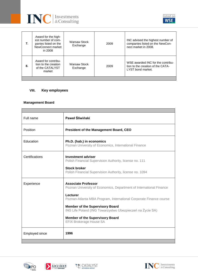



| 7. | Award for the high-<br>est number of com-<br>panies listed on the<br>NewConnect market<br>in 2008 | Warsaw Stock<br>Exchange        | 2009 | INC advised the highest number of<br>companies listed on the NewCon-<br>nect market in 2008. |
|----|---------------------------------------------------------------------------------------------------|---------------------------------|------|----------------------------------------------------------------------------------------------|
| 8. | Award for contribu-<br>tion to the creation<br>of the CATALYST<br>market                          | <b>Warsaw Stock</b><br>Exchange | 2009 | WSE awarded INC for the contribu-<br>tion to the creation of the CATA-<br>LYST bond market.  |

# **VIII. Key employees**

## **Management Board**

| Full name             | Paweł Śliwiński                                                                                                                                                                                                                                                                                                                                                        |
|-----------------------|------------------------------------------------------------------------------------------------------------------------------------------------------------------------------------------------------------------------------------------------------------------------------------------------------------------------------------------------------------------------|
| Position              | <b>President of the Management Board, CEO</b>                                                                                                                                                                                                                                                                                                                          |
| Education             | Ph.D. (hab.) in economics<br>Poznan University of Economics, International Finance                                                                                                                                                                                                                                                                                     |
| Certifications        | <b>Investment adviser</b><br>Polish Financial Supervision Authority, license no. 111<br><b>Stock broker</b><br>Polish Financial Supervision Authority, license no. 1094                                                                                                                                                                                                |
| Experience            | <b>Associate Professor</b><br>Poznan University of Economics, Department of International Finance<br>Lecturer<br>Poznan-Atlanta MBA Program, International Corporate Finance course<br><b>Member of the Supervisory Board</b><br>ING Life Poland (ING Towarzystwo Ubezpieczeń na Życie SA)<br><b>Member of the Supervisory Board</b><br><b>EFIX Brokerage House SA</b> |
| <b>Employed since</b> | 1996                                                                                                                                                                                                                                                                                                                                                                   |







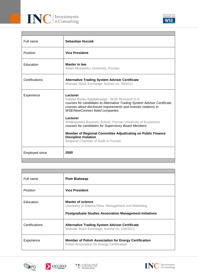



| Full name      | <b>Sebastian Huczek</b>                                                                                                                                                                                                                               |
|----------------|-------------------------------------------------------------------------------------------------------------------------------------------------------------------------------------------------------------------------------------------------------|
| Position       | <b>Vice President</b>                                                                                                                                                                                                                                 |
| Education      | <b>Master in law</b><br>Adam Mickiewicz University, Poznan                                                                                                                                                                                            |
| Certifications | <b>Alternative Trading System Adviser Certificate</b><br>Warsaw Stock Exchange, license no. 36/2011                                                                                                                                                   |
| Experience     | Lecturer<br>Instytut Rynku Kapitałowego - WSE Research S.A.<br>courses for candidates to Alternative Trading System Adviser Certificate,<br>courses about disclosure requirements and investor relations in<br><b>WSE/NewConnect listed companies</b> |
|                | Lecturer<br>Wielkopolska Business School, Poznan University of Economics<br>courses for candidates for Supervisory Board Members                                                                                                                      |
|                | Member of Regional Committee Adjudicating on Public Finance<br><b>Discipline Violation</b><br>Regional Chamber of Audit in Poznan                                                                                                                     |
| Employed since | 2000                                                                                                                                                                                                                                                  |

| Full name       | <b>Piotr Białowas</b>                                                                                                                              |
|-----------------|----------------------------------------------------------------------------------------------------------------------------------------------------|
| <b>Position</b> | <b>Vice President</b>                                                                                                                              |
| Education       | <b>Master of science</b><br>University of Zielona Góra, Management and Marketing<br><b>Postgraduate Studies Association Management Initiatives</b> |
| Certifications  | <b>Alternative Trading System Adviser Certificate</b><br>Warsaw Stock Exchange, license no. 105/2011                                               |
| Experience      | <b>Member of Polish Association for Energy Certification</b><br>Polish Association for Energy Certification                                        |







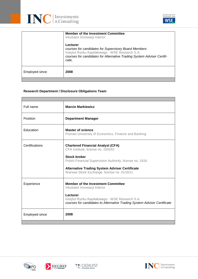



|                | <b>Member of the Investment Committee</b><br>Inkubator Innowacji Interior                                                                                                                              |  |
|----------------|--------------------------------------------------------------------------------------------------------------------------------------------------------------------------------------------------------|--|
|                | Lecturer<br>courses for candidates for Supervisory Board Members<br>Instytut Rynku Kapitałowego - WSE Research S.A.<br>courses for candidates for Alternative Trading System Adviser Certifi-<br>cate. |  |
| Employed since | 2008                                                                                                                                                                                                   |  |
|                |                                                                                                                                                                                                        |  |

# **Research Department / Disclosure Obligations Team**

| Full name      | <b>Marcin Markiewicz</b>                                                                                                                |
|----------------|-----------------------------------------------------------------------------------------------------------------------------------------|
| Position       | <b>Department Manager</b>                                                                                                               |
| Education      | <b>Master of science</b><br>Poznan University of Economics, Finance and Banking                                                         |
| Certifications | <b>Chartered Financial Analyst (CFA)</b><br>CFA Institute, license no. 150242                                                           |
|                | <b>Stock broker</b><br>Polish Financial Supervision Authority, license no. 2416                                                         |
|                | <b>Alternative Trading System Adviser Certificate</b><br>Warsaw Stock Exchange, license no. 41/2011                                     |
| Experience     | <b>Member of the Investment Committee</b><br>Inkubator Innowacji Interior                                                               |
|                | Lecturer<br>Instytut Rynku Kapitałowego - WSE Research S.A.<br>courses for candidates to Alternative Trading System Adviser Certificate |
| Employed since | 2008                                                                                                                                    |
|                |                                                                                                                                         |





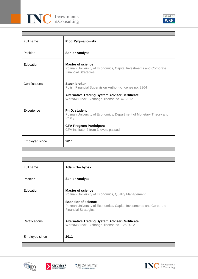



| Full name             | Piotr Zygmanowski                                                                                                                                                                      |
|-----------------------|----------------------------------------------------------------------------------------------------------------------------------------------------------------------------------------|
| Position              | <b>Senior Analyst</b>                                                                                                                                                                  |
| Education             | <b>Master of science</b><br>Poznan University of Economics, Capital Investments and Corporate<br><b>Financial Strategies</b>                                                           |
| Certifications        | <b>Stock broker</b><br>Polish Financial Supervision Authority, license no. 2964<br><b>Alternative Trading System Adviser Certificate</b><br>Warsaw Stock Exchange, license no. 47/2012 |
| Experience            | Ph.D. student<br>Poznan University of Economics, Department of Monetary Theory and<br>Policy<br><b>CFA Program Participant</b><br>CFA Institute, 2 from 3 levels passed                |
| <b>Employed since</b> | 2011                                                                                                                                                                                   |

| Full name             | <b>Adam Bochyński</b>                                                                                                                                                                                            |
|-----------------------|------------------------------------------------------------------------------------------------------------------------------------------------------------------------------------------------------------------|
| <b>Position</b>       | <b>Senior Analyst</b>                                                                                                                                                                                            |
| Education             | <b>Master of science</b><br>Poznan University of Economics, Quality Management<br><b>Bachelor of science</b><br>Poznan University of Economics, Capital Investments and Corporate<br><b>Financial Strategies</b> |
| Certifications        | <b>Alternative Trading System Adviser Certificate</b><br>Warsaw Stock Exchange, license no. 125/2012                                                                                                             |
| <b>Employed since</b> | 2011                                                                                                                                                                                                             |
|                       |                                                                                                                                                                                                                  |





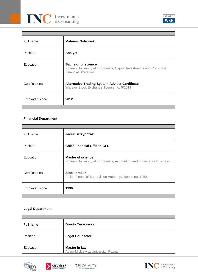

| Full name       | <b>Mateusz Ostrowski</b>                                                                                                       |
|-----------------|--------------------------------------------------------------------------------------------------------------------------------|
| <b>Position</b> | Analyst                                                                                                                        |
| Education       | <b>Bachelor of science</b><br>Poznan University of Economics, Capital Investments and Corporate<br><b>Financial Strategies</b> |
| Certifications  | <b>Alternative Trading System Adviser Certificate</b><br>Warsaw Stock Exchange, license no. 5/2014                             |
| Employed since  | 2012                                                                                                                           |
|                 |                                                                                                                                |

# **Financial Department**

| Full name             | Jacek Skrzypczak                                                                                |
|-----------------------|-------------------------------------------------------------------------------------------------|
| Position              | <b>Chief Financial Officer, CFO</b>                                                             |
| Education             | <b>Master of science</b><br>Poznan University of Economics, Accounting and Finance for Business |
| Certifications        | <b>Stock broker</b><br>Polish Financial Supervision Authority, license no. 1252                 |
| <b>Employed since</b> | 1996                                                                                            |
|                       |                                                                                                 |

# **Legal Department**

| Full name | Dorota Turkowska                                           |
|-----------|------------------------------------------------------------|
| Position  | <b>Legal Counselor</b>                                     |
| Education | <b>Master in law</b><br>Adam Mickiewicz University, Poznan |







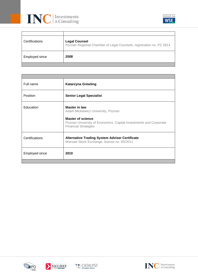



| Certifications | <b>Legal Counsel</b><br>Poznan Regional Chamber of Legal Counsels, registration no. PZ 2814 |
|----------------|---------------------------------------------------------------------------------------------|
| Employed since | 2008                                                                                        |

| Full name             | <b>Katarzyna Grewling</b>                                                                                                                                                                  |  |  |  |
|-----------------------|--------------------------------------------------------------------------------------------------------------------------------------------------------------------------------------------|--|--|--|
| <b>Position</b>       | <b>Senior Legal Specialist</b>                                                                                                                                                             |  |  |  |
| Education             | <b>Master in law</b><br>Adam Mickiewicz University, Poznan<br><b>Master of science</b><br>Poznan University of Economics, Capital Investments and Corporate<br><b>Financial Strategies</b> |  |  |  |
| Certifications        | <b>Alternative Trading System Adviser Certificate</b><br>Warsaw Stock Exchange, license no. 60/2011                                                                                        |  |  |  |
| <b>Employed since</b> | 2010                                                                                                                                                                                       |  |  |  |
|                       |                                                                                                                                                                                            |  |  |  |